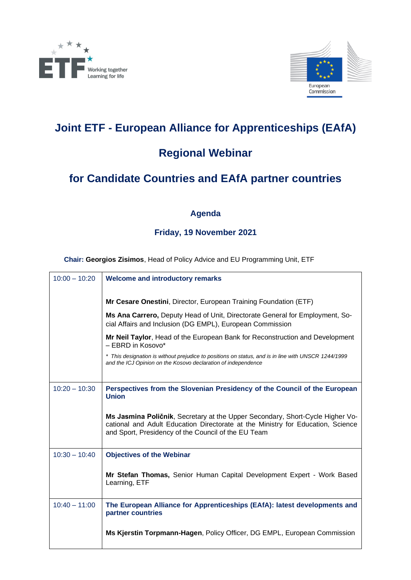



## **Joint ETF - European Alliance for Apprenticeships (EAfA)**

### **Regional Webinar**

# **for Candidate Countries and EAfA partner countries**

### **Agenda**

### **Friday, 19 November 2021**

**Chair: Georgios Zisimos**, Head of Policy Advice and EU Programming Unit, ETF

| $10:00 - 10:20$ | <b>Welcome and introductory remarks</b>                                                                                                                                                                                 |
|-----------------|-------------------------------------------------------------------------------------------------------------------------------------------------------------------------------------------------------------------------|
|                 | Mr Cesare Onestini, Director, European Training Foundation (ETF)                                                                                                                                                        |
|                 | Ms Ana Carrero, Deputy Head of Unit, Directorate General for Employment, So-<br>cial Affairs and Inclusion (DG EMPL), European Commission                                                                               |
|                 | Mr Neil Taylor, Head of the European Bank for Reconstruction and Development<br>- EBRD in Kosovo*                                                                                                                       |
|                 | * This designation is without prejudice to positions on status, and is in line with UNSCR 1244/1999<br>and the ICJ Opinion on the Kosovo declaration of independence                                                    |
| $10:20 - 10:30$ | Perspectives from the Slovenian Presidency of the Council of the European<br><b>Union</b>                                                                                                                               |
|                 | Ms Jasmina Poličnik, Secretary at the Upper Secondary, Short-Cycle Higher Vo-<br>cational and Adult Education Directorate at the Ministry for Education, Science<br>and Sport, Presidency of the Council of the EU Team |
| $10:30 - 10:40$ | <b>Objectives of the Webinar</b>                                                                                                                                                                                        |
|                 | Mr Stefan Thomas, Senior Human Capital Development Expert - Work Based<br>Learning, ETF                                                                                                                                 |
| $10:40 - 11:00$ | The European Alliance for Apprenticeships (EAfA): latest developments and<br>partner countries                                                                                                                          |
|                 | Ms Kjerstin Torpmann-Hagen, Policy Officer, DG EMPL, European Commission                                                                                                                                                |